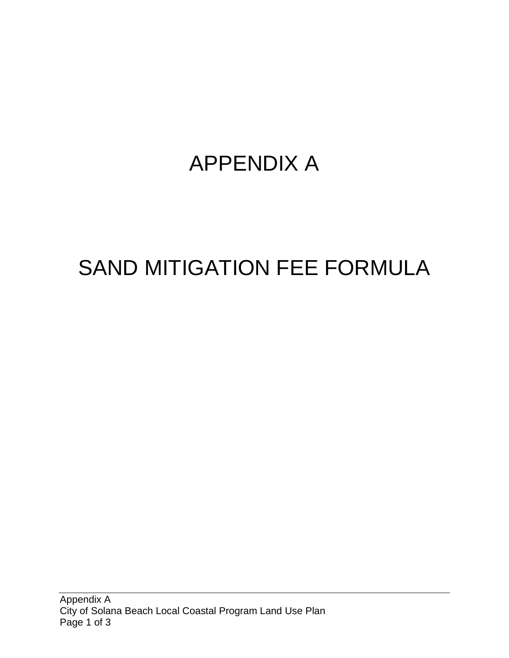## APPENDIX A

# SAND MITIGATION FEE FORMULA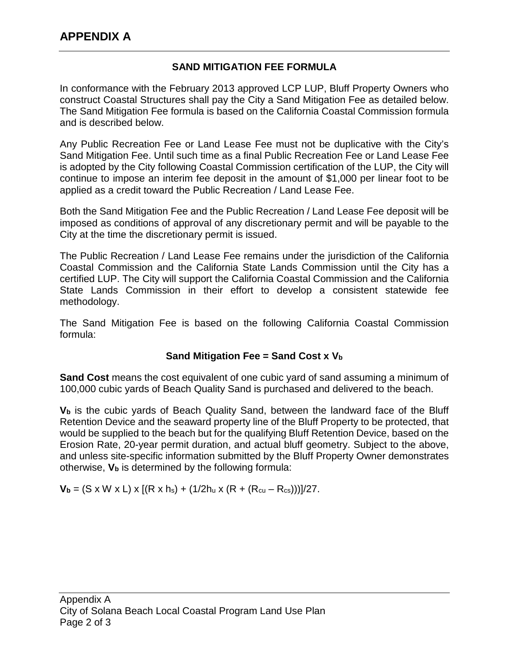### **SAND MITIGATION FEE FORMULA**

In conformance with the February 2013 approved LCP LUP, Bluff Property Owners who construct Coastal Structures shall pay the City a Sand Mitigation Fee as detailed below. The Sand Mitigation Fee formula is based on the California Coastal Commission formula and is described below.

Any Public Recreation Fee or Land Lease Fee must not be duplicative with the City's Sand Mitigation Fee. Until such time as a final Public Recreation Fee or Land Lease Fee is adopted by the City following Coastal Commission certification of the LUP, the City will continue to impose an interim fee deposit in the amount of \$1,000 per linear foot to be applied as a credit toward the Public Recreation / Land Lease Fee.

Both the Sand Mitigation Fee and the Public Recreation / Land Lease Fee deposit will be imposed as conditions of approval of any discretionary permit and will be payable to the City at the time the discretionary permit is issued.

The Public Recreation / Land Lease Fee remains under the jurisdiction of the California Coastal Commission and the California State Lands Commission until the City has a certified LUP. The City will support the California Coastal Commission and the California State Lands Commission in their effort to develop a consistent statewide fee methodology.

The Sand Mitigation Fee is based on the following California Coastal Commission formula:

#### **Sand Mitigation Fee = Sand Cost x Vb**

**Sand Cost** means the cost equivalent of one cubic yard of sand assuming a minimum of 100,000 cubic yards of Beach Quality Sand is purchased and delivered to the beach.

**Vb** is the cubic yards of Beach Quality Sand, between the landward face of the Bluff Retention Device and the seaward property line of the Bluff Property to be protected, that would be supplied to the beach but for the qualifying Bluff Retention Device, based on the Erosion Rate, 20-year permit duration, and actual bluff geometry. Subject to the above, and unless site-specific information submitted by the Bluff Property Owner demonstrates otherwise, **Vb** is determined by the following formula:

 $V_b = (S \times W \times L) \times [(R \times h_s) + (1/2h_u \times (R + (R_{cu} - R_{cs})))]/27$ .